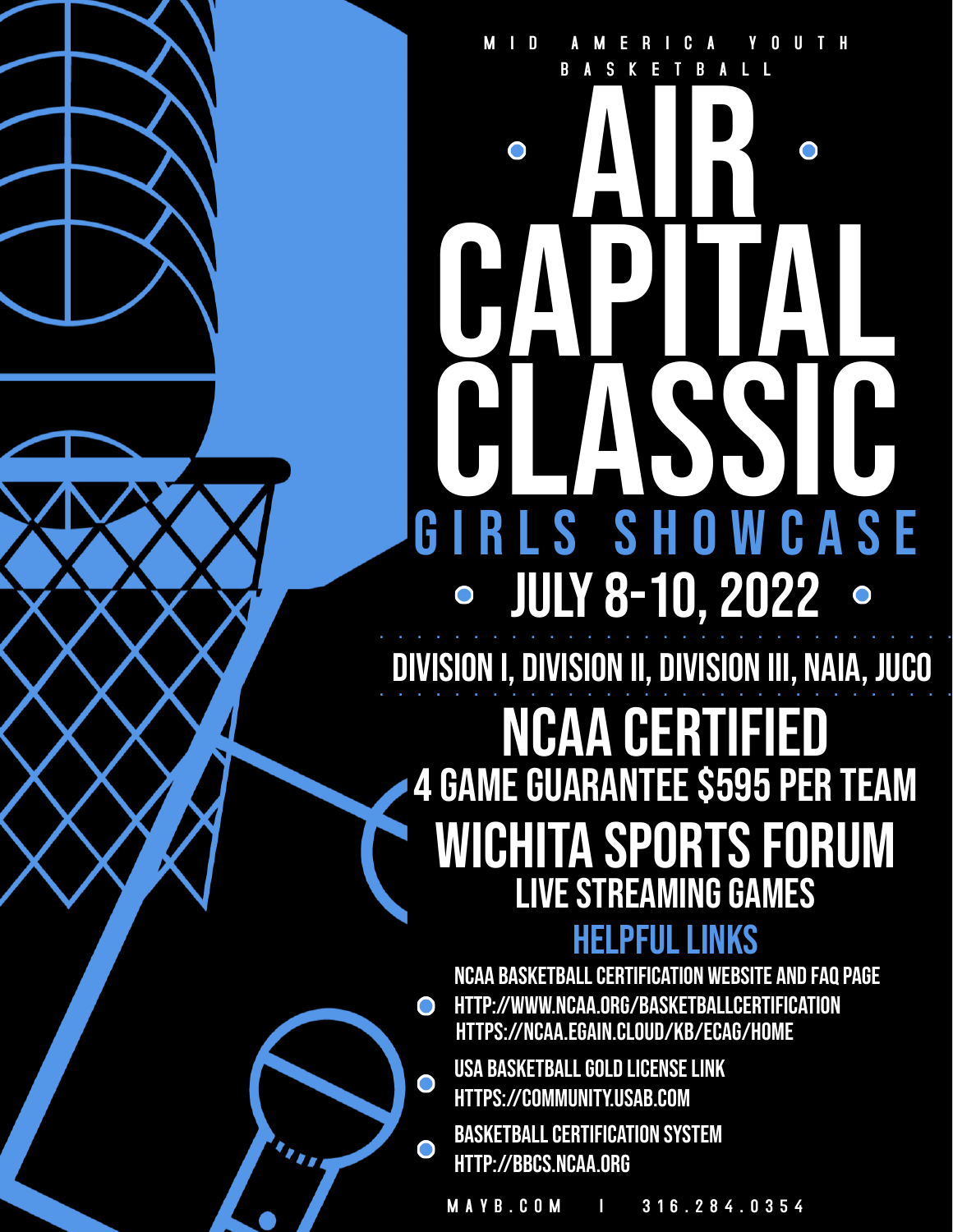# B A S K E T B A L L AIR O O CAPITAL CLASSIC GIRLS SHOWCASE JULY 8-10, 2022 . . . . . . . . . . . . . . . . . . . . . . . . . . . . . . .

M I D A M E R I C A Y O U T H

DIVISION I, DIVISION II, DIVISION III, NAIA, JUCO

## **HELPFUL LINKS 4 GAME GUARANTEE \$595 PER TEAM** WICHITA SPORTS FORUM ncaa certified LIVE STREAMING GAMES

**NCAA basketballcertification website and FAQpage [http://www.ncaa.org/basketballcertification](https://www.ncaa.org/sports/2014/6/26/basketball-certification.aspx)**  $\bullet$ <https://ncaa.egain.cloud/kb/ECAG/home>

USA BASKETBALL GOLD LICENSE LINK [https://community.usab.com](https://community.usab.com/)

 $\bullet$ 

**BASKETBALL CERTIFICATION SYSTEM** http://bbcs.ncaa.org

M A Y B . C O M I 3 1 6 . 2 8 4 . 0 3 5 4